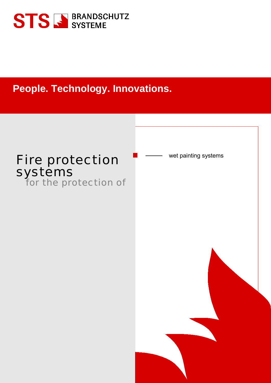

**People. Technology. Innovations.**

## Fire protection **Fire** wet painting systems systems<br>for the protection of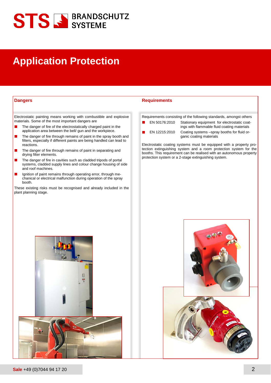# **STS SE BRANDSCHUTZ**

## **Application Protection**

Electrostatic painting means working with combustible and explosive materials. Some of the most important dangers are

- п The danger of fire of the electrostatically charged paint in the application area between the bell/ gun and the workpiece.
- The danger of fire through remains of paint in the spray booth and filters, especially if different paints are being handled can lead to reactions.
- The danger of fire through remains of paint in separating and drying filter elements.
- The danger of fire in cavities such as cladded tripods of portal systems, cladded supply lines and colour change housing of side and roof machines.
- Ignition of paint remains through operating error, through mechanical or electrical malfunction during operation of the spray booth.

These existing risks must be recognised and already included in the plant planning stage.

### **Dangers Requirements**

Requirements consisting of the following standards, amongst others

- EN 50176:2010 Stationary equipment for electrostatic coatings with flammable fluid coating materials
	- EN 12215:2010 Coating systems –spray booths for fluid or
		- ganic coating materials

Electrostatic coating systems must be equipped with a property protection extinguishing system and a room protection system for the booths. This requirement can be realised with an autonomous property protection system or a 2-stage extinguishing system.



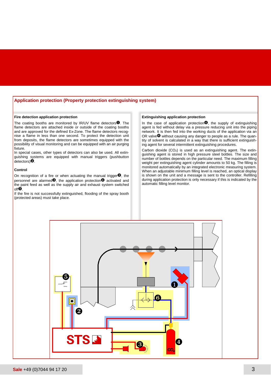### **Application protection (Property protection extinguishing system)**

#### **Fire detection application protection**

The coating booths are monitored by IR/UV flame detectors $\mathbf{0}$ . The flame detectors are attached inside or outside of the coating booths and are approved for the defined Ex-Zone. The flame detectors recognise a flame in less than one second. To protect the detection unit from deposits, the flame detectors are sometimes equipped with the possibility of visual monitoring and can be equipped with an air purging fixture.

In special cases, other types of detectors can also be used. All extinguishing systems are equipped with manual triggers (pushbutton  $d$ etectors) $\dot{Q}$ .

### **Control**

On recognition of a fire or when actuating the manual trigger $\bigcirc$ , the personnel are alarmed $\bullet$ , the application protection $\bullet$  activated and the paint feed as well as the supply air and exhaust system switched  $off$ .

If the fire is not successfully extinguished, flooding of the spray booth (protected areas) must take place.

### **Extinguishing application protection**

In the case of application protection $\bullet$ , the supply of extinguishing agent is fed without delay via a pressure reducing unit into the piping network. It is then fed into the working ducts of the application via an OR valve $\bullet$  without causing any danger to people as a rule. The quantity of solvent is calculated in a way that there is sufficient extinguishing agent for several intermittent extinguishing procedures.

Carbon dioxide  $(CO<sub>2</sub>)$  is used as an extinguishing agent. The extinguishing agent is stored in high pressure steel bottles. The size and number of bottles depends on the particular need. The maximum filling weight per extinguishing agent cylinder amounts to 50 kg. The filling is monitored automatically by an integrated electronic measuring system. When an adjustable minimum filling level is reached, an optical display is shown on the unit and a message is sent to the controller. Refilling during application protection is only necessary if this is indicated by the automatic filling level monitor.

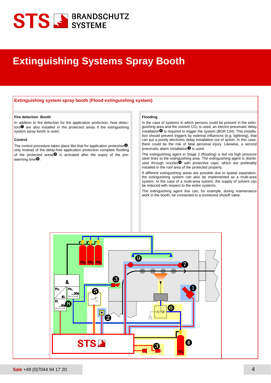# **STS SE BRANDSCHUTZ**

### **Extinguishing Systems Spray Booth**

### **Extinguishing system spray booth (Flood extinguishing system)**

### **Fire detection Booth**

In addition to fire detection for the application protection, heat detectors $\bullet$  are also installed in the protected areas if the extinguishing system spray booth is used.

### **Control**

The control procedure takes place like that for application protection $\bullet$ , only instead of the delay-free application protection complete flooding of the protected areas $\bullet$  is activated after the expiry of the prewarming time $\mathbf{\Theta}$ .

### **Flooding**

In the case of systems in which persons could be present in the extinguishing area and the solvent  $CO<sub>2</sub>$  is used, an electro-pneumatic delay installation $\mathbf \Theta$  is required to trigger the system (BGR 134). This installation should prevent triggers by external influences (e.g. lightning), that can put a purely electronic delay installation out of action. In this case, there could be the risk of fatal personal injury. Likewise, a second pneumatic alarm installation $\mathbf{\Theta}$  is used.

The extinguishing agent in Stage 2 (flooding) is fed via high pressure steel lines to the extinguishing area. The extinguishing agent is distributed through nozzles with protective caps, which are preferably installed in the roof area of the protected property.

If different extinguishing areas are possible due to spatial separation, the extinguishing system can also be implemented as a multi-area system. In the case of a multi-area system, the supply of solvent can be reduced with respect to the entire systems.

The extinguishing agent line can, for example, during maintenance work in the booth, be connected to a monitored shutoff valve.

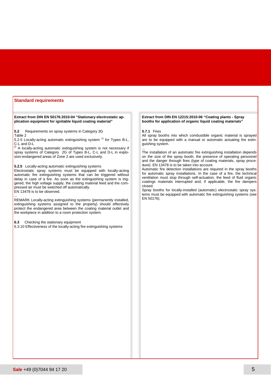### **Standard requirements**

**Extract from DIN EN 50176:2010-04 "Stationary electrostatic application equipment for ignitable liquid coating material"**

**5.2** Requirements on spray systems in Category 3G Table 2

5.2.5 Locally-acting automatic extinguishing system <sup>c)</sup> for Types B-L,

C-L and D-L<br><sup>c)</sup> A locally-acting automatic extinguishing system is not necessary if spray systems of Category 2G of Types B-L, C-L and D-L in explosion-endangered areas of Zone 2 are used exclusively.

**5.2.5** Locally-acting automatic extinguishing systems

Electrostatic spray systems must be equipped with locally-acting automatic fire extinguishing systems that can be triggered without delay in case of a fire. As soon as the extinguishing system is triggered, the high voltage supply, the coating material feed and the compressed air must be switched off automatically.

EN 13478 is to be observed.

...

REMARK Locally-acting extinguishing systems (permanently installed, extinguishing systems assigned to the property) should effectively protect the endangered area between the coating material outlet and the workpiece in addition to a room protection system.

**6.3** Checking the stationary equipment

6.3.10 Effectiveness of the locally-acting fire extinguishing systems

### **Extract from DIN EN 12215:2010-06 "Coating plants - Spray booths for application of organic liquid coating materials"**

#### **5.7.1** Fires

All spray booths into which combustible organic material is sprayed are to be equipped with a manual or automatic actuating fire extinguishing system.

... The installation of an automatic fire extinguishing installation depends on the size of the spray booth, the presence of operating personnel and the danger through fires (type of coating materials, spray procedure). EN 13478 is to be taken into account.

Automatic fire detection installations are required in the spray booths for automatic spray installations. In the case of a fire, the technical ventilation must stop through self-actuation, the feed of fluid organic coatings materials interrupted and, if applicable, the fire dampers closed.

Spray booths for locally-installed (automatic) electrostatic spray systems must be equipped with automatic fire extinguishing systems (see EN 50176).